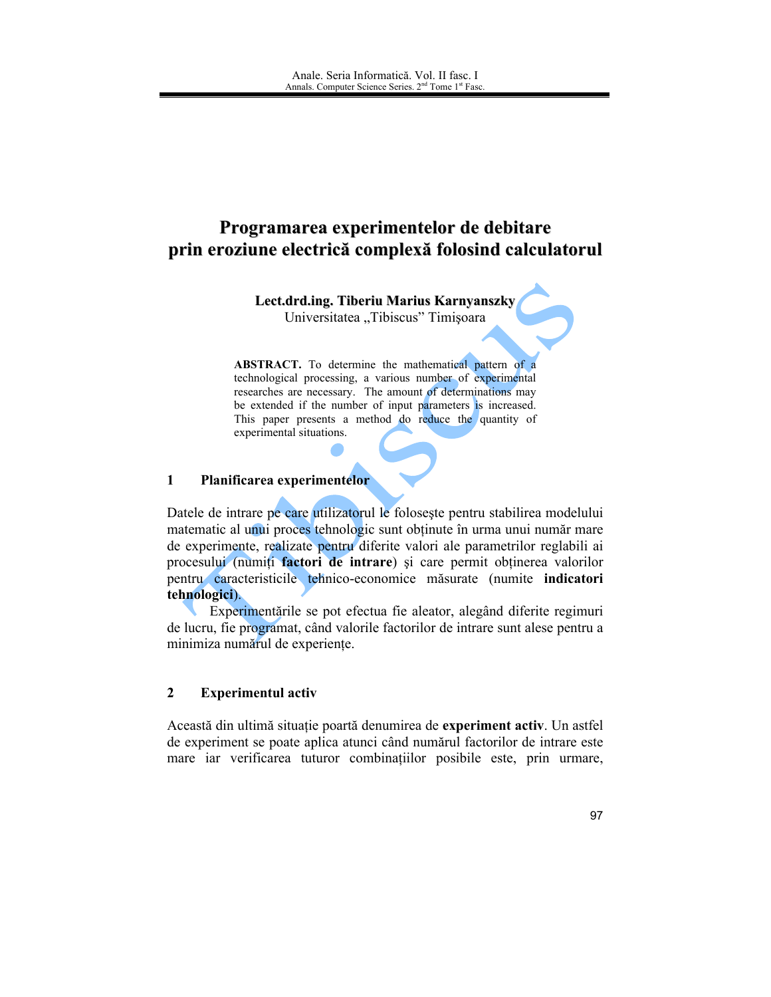# Programarea experimentelor de debitare prin eroziune electrică complexă folosind calculatorul

Lect.drd.ing. Tiberiu Marius Karnyanszky

Universitatea "Tibiscus" Timișoara

**ABSTRACT.** To determine the mathematical pattern of a technological processing, a various number of experimental researches are necessary. The amount of determinations may be extended if the number of input parameters is increased. This paper presents a method do reduce the quantity of experimental situations.

#### $\mathbf{1}$ Planificarea experimentelor

Datele de intrare pe care utilizatorul le foloseste pentru stabilirea modelului matematic al unui proces tehnologic sunt obținute în urma unui număr mare de experimente, realizate pentru diferite valori ale parametrilor reglabili ai procesului (numiți factori de intrare) și care permit obținerea valorilor pentru caracteristicile tehnico-economice măsurate (numite indicatori tehnologici).

Experimentările se pot efectua fie aleator, alegând diferite regimuri de lucru, fie programat, când valorile factorilor de intrare sunt alese pentru a minimiza numărul de experiențe.

## $\overline{2}$ **Experimentul activ**

Această din ultimă situație poartă denumirea de experiment activ. Un astfel de experiment se poate aplica atunci când numărul factorilor de intrare este mare iar verificarea tuturor combinațiilor posibile este, prin urmare,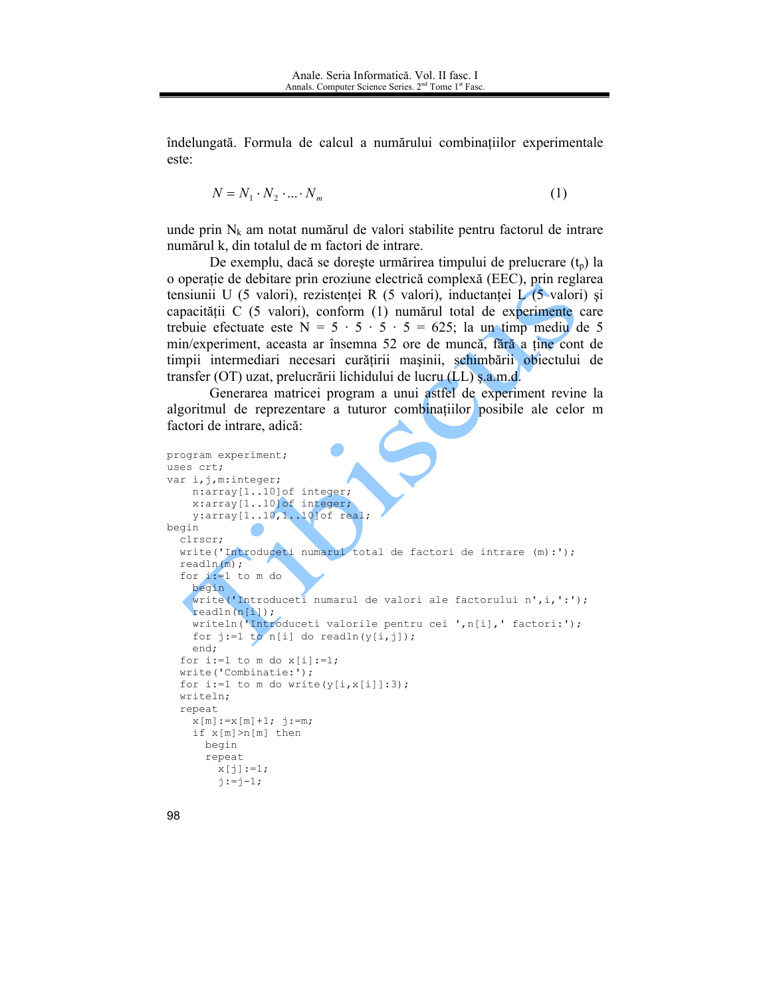îndelungată. Formula de calcul a numărului combinațiilor experimentale este:

$$
N = N_1 \cdot N_2 \cdot \dots \cdot N_m \tag{1}
$$

unde prin  $N_k$  am notat numărul de valori stabilite pentru factorul de intrare numărul k, din totalul de m factori de intrare.

De exemplu, dacă se dorește urmărirea timpului de prelucrare  $(t_p)$  la o operație de debitare prin eroziune electrică complexă (EEC), prin reglarea tensiunii U (5 valori), rezistenței R (5 valori), inductanței  $\sqrt{(5 \text{ valori})}$  și capacității C (5 valori), conform (1) numărul total de experimente care trebuie efectuate este  $N = 5 \cdot 5 \cdot 5 \cdot 5 = 625$ ; la un timp mediu de 5 min/experiment, aceasta ar însemna 52 ore de muncă, fără a tine cont de timpii intermediari necesari curățirii mașinii, schimbării obiectului de transfer (OT) uzat, prelucrării lichidului de lucru (LL) ș.a.m.d.

Generarea matricei program a unui astfel de experiment revine la algoritmul de reprezentare a tuturor combinațiilor posibile ale celor m factori de intrare, adică.

```
program experiment;
uses crt:
var i, j, m: integer;
   n:array[1..10]of integer;
    x:array[1..10]of integer;
    y: array[1..10,1..10]of real;
begin
  clrscr;
  write ('Introduceti numarul total de factori de intrare (m):');
  readln(m);for i := 1 to m do
    begin
   write('Introduceti numarul de valori ale factorului n', i, ':');
    readln(n[i]);writeln('Introduceti valorile pentru cei ',n[i],' factori:');
    for j:=1 to n[i] do readln(y[i,j]);
    end;
  for i:=1 to m do x[i]:=1;write('Combinatie:');
  for i:=1 to m do write (y[i, x[i]]:3);
  writeln:
  repeat
    x[m] := x[m] + 1; j := m;if x[m] > n[m] then
      begin
      repeat
        x[j]:=1;j := j - 1;
```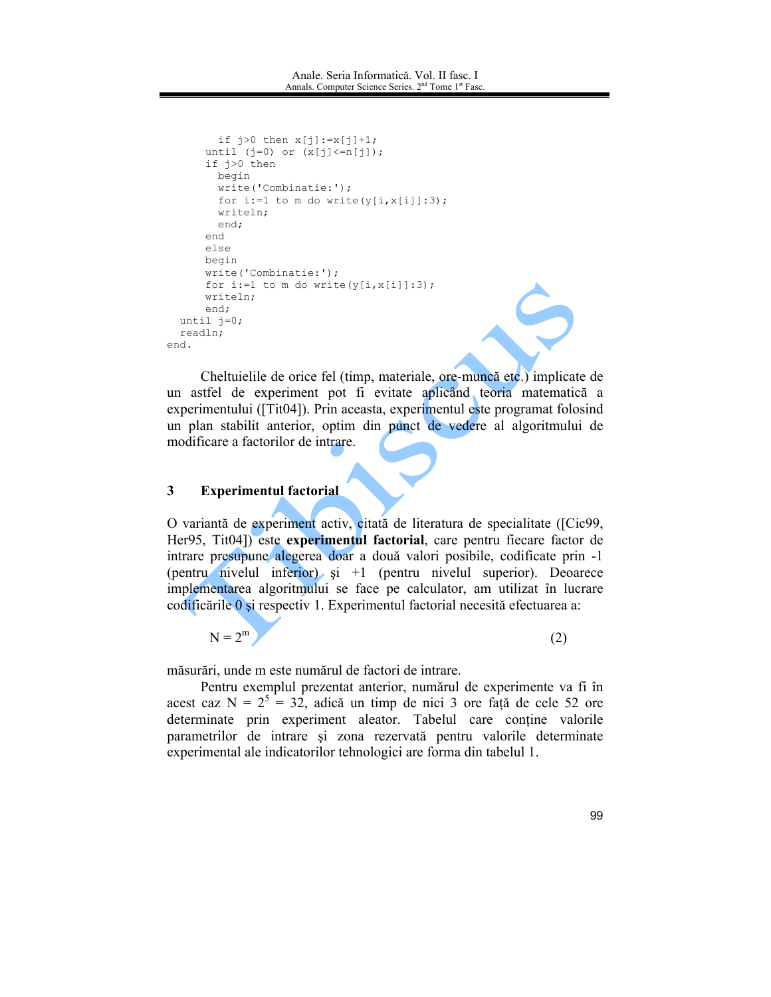```
if j>0 then x[j]:=x[j]+1;until (j=0) or (x[j]<=n[j]);
      if j>0 then
        begin
        write('Combinatie:');
        for i:=1 to m do write (y[i, x[i]]:3);
        writeln;
        end:
      end
      else
     begin
      write('Combinatie:');
      for i:=1 to m do write(y[i, x[i]]:3);
     write1n:end;
 until j=0;
 readln;
end.
```
Cheltuielile de orice fel (timp, materiale, ore-muncă etc.) implicate de un astfel de experiment pot fi evitate aplicând teoria matematică a experimentului ([Tit04]). Prin aceasta, experimentul este programat folosind un plan stabilit anterior, optim din punct de vedere al algoritmului de modificare a factorilor de intrare.

#### $\overline{3}$ **Experimentul factorial**

O variantă de experiment activ, citată de literatura de specialitate ([Cic99, Her95, Tit04]) este experimentul factorial, care pentru fiecare factor de intrare presupune alegerea doar a două valori posibile, codificate prin -1 (pentru nivelul inferior) și  $+1$  (pentru nivelul superior). Deoarece implementarea algoritmului se face pe calculator, am utilizat în lucrare codificările 0 și respectiv 1. Experimentul factorial necesită efectuarea a:

$$
N = 2m
$$
 (2)

măsurări, unde m este numărul de factori de intrare.

Pentru exemplul prezentat anterior, numărul de experimente va fi în acest caz  $N = 2^5 = 32$ , adică un timp de nici 3 ore față de cele 52 ore determinate prin experiment aleator. Tabelul care contine valorile parametrilor de intrare și zona rezervată pentru valorile determinate experimental ale indicatorilor tehnologici are forma din tabelul 1.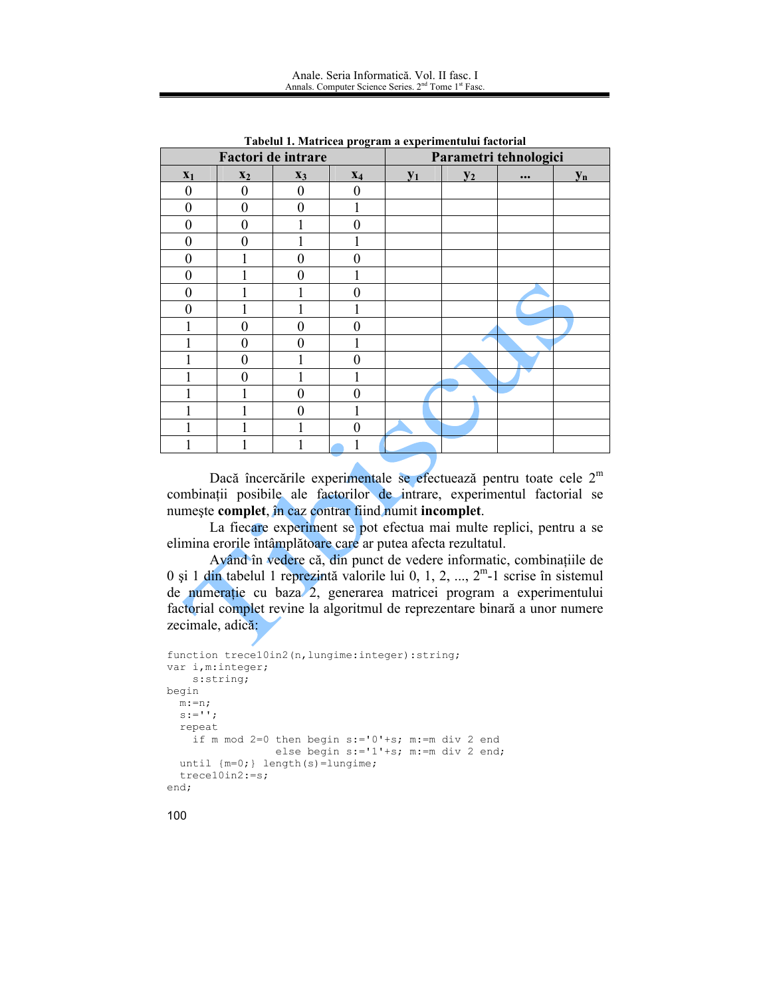| <u>raseur 1: maintear program a experimentanti necesitar</u><br>Factori de intrare |                |                |          | Parametri tehnologici |       |          |       |
|------------------------------------------------------------------------------------|----------------|----------------|----------|-----------------------|-------|----------|-------|
| $\mathbf{x}_1$                                                                     | $x_2$          | $X_3$          | $X_4$    | $y_1$                 | $y_2$ | $\cdots$ | $y_n$ |
| $\mathbf{0}$                                                                       | $\overline{0}$ | $\overline{0}$ | $\theta$ |                       |       |          |       |
| $\theta$                                                                           | $\overline{0}$ | $\Omega$       |          |                       |       |          |       |
| $\theta$                                                                           | $\overline{0}$ |                | 0        |                       |       |          |       |
| $\theta$                                                                           | $\Omega$       |                |          |                       |       |          |       |
| $\overline{0}$                                                                     |                | $\overline{0}$ | 0        |                       |       |          |       |
| $\boldsymbol{0}$                                                                   |                | 0              |          |                       |       |          |       |
| $\theta$                                                                           |                |                | 0        |                       |       |          |       |
| $\overline{0}$                                                                     |                |                |          |                       |       |          |       |
|                                                                                    | 0              | 0              | 0        |                       |       |          |       |
|                                                                                    | 0              | 0              |          |                       |       |          |       |
|                                                                                    | 0              |                | 0        |                       |       |          |       |
|                                                                                    | 0              |                |          |                       |       |          |       |
|                                                                                    |                | 0              | 0        |                       |       |          |       |
|                                                                                    |                | 0              |          |                       |       |          |       |
|                                                                                    |                |                | 0        |                       |       |          |       |
|                                                                                    |                |                |          |                       |       |          |       |

Tabelul 1. Matricea program a experimentului factorial

Dacă încercările experimentale se efectuează pentru toate cele  $2<sup>m</sup>$ combinații posibile ale factorilor de intrare, experimentul factorial se numește complet, în caz contrar fiind numit incomplet.

La fiecare experiment se pot efectua mai multe replici, pentru a se elimina erorile întâmplătoare care ar putea afecta rezultatul.

Având în vedere că, din punct de vedere informatic, combinațiile de 0 și 1 din tabelul 1 reprezintă valorile lui 0, 1, 2, ...,  $2^m$ -1 scrise în sistemul de numerație cu baza 2, generarea matricei program a experimentului factorial complet revine la algoritmul de reprezentare binară a unor numere zecimale, adică:

```
function trece10in2(n, lungime: integer): string;
var i, m: integer;
   s:string;
begin
 m := n;s := 11;repeat
   if m mod 2=0 then begin s:='0'+s; m:=m div 2 end
                 else begin s:='1'+s; m:=m div 2 end;
  until {m=0;} length (s)=lungime;
  tree10in2:=s;end;
```